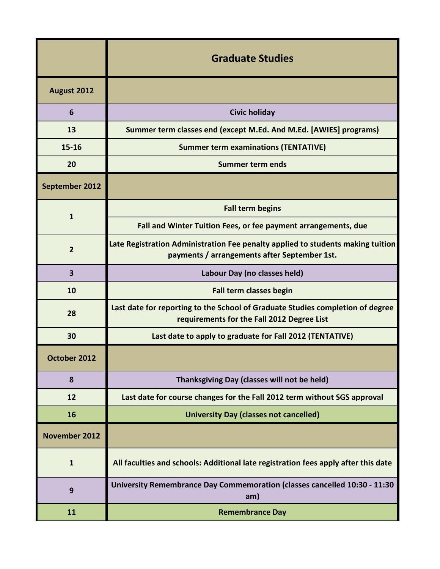|                         | <b>Graduate Studies</b>                                                                                                         |
|-------------------------|---------------------------------------------------------------------------------------------------------------------------------|
| August 2012             |                                                                                                                                 |
| 6                       | <b>Civic holiday</b>                                                                                                            |
| 13                      | Summer term classes end (except M.Ed. And M.Ed. [AWIES] programs)                                                               |
| $15 - 16$               | <b>Summer term examinations (TENTATIVE)</b>                                                                                     |
| 20                      | <b>Summer term ends</b>                                                                                                         |
| September 2012          |                                                                                                                                 |
| $\mathbf{1}$            | <b>Fall term begins</b>                                                                                                         |
|                         | Fall and Winter Tuition Fees, or fee payment arrangements, due                                                                  |
| $\overline{2}$          | Late Registration Administration Fee penalty applied to students making tuition<br>payments / arrangements after September 1st. |
| $\overline{\mathbf{3}}$ | Labour Day (no classes held)                                                                                                    |
| 10                      | <b>Fall term classes begin</b>                                                                                                  |
| 28                      | Last date for reporting to the School of Graduate Studies completion of degree<br>requirements for the Fall 2012 Degree List    |
| 30                      | Last date to apply to graduate for Fall 2012 (TENTATIVE)                                                                        |
| October 2012            |                                                                                                                                 |
| 8                       | Thanksgiving Day (classes will not be held)                                                                                     |
| 12                      | Last date for course changes for the Fall 2012 term without SGS approval                                                        |
| 16                      | <b>University Day (classes not cancelled)</b>                                                                                   |
| <b>November 2012</b>    |                                                                                                                                 |
| $\mathbf{1}$            | All faculties and schools: Additional late registration fees apply after this date                                              |
| 9                       | University Remembrance Day Commemoration (classes cancelled 10:30 - 11:30<br>am)                                                |
| 11                      | <b>Remembrance Day</b>                                                                                                          |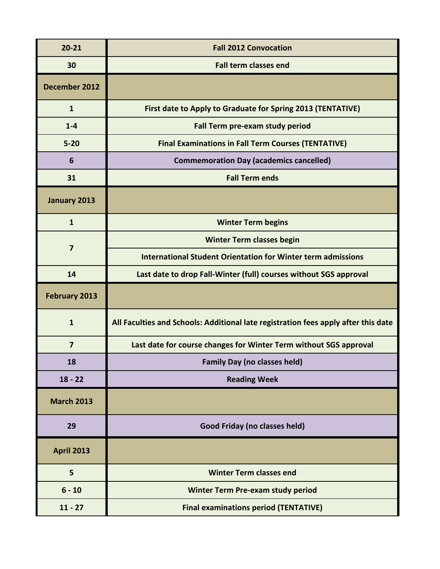| $20 - 21$               | <b>Fall 2012 Convocation</b>                                                       |
|-------------------------|------------------------------------------------------------------------------------|
| 30                      | <b>Fall term classes end</b>                                                       |
| December 2012           |                                                                                    |
| $\mathbf{1}$            | First date to Apply to Graduate for Spring 2013 (TENTATIVE)                        |
| $1 - 4$                 | Fall Term pre-exam study period                                                    |
| $5 - 20$                | <b>Final Examinations in Fall Term Courses (TENTATIVE)</b>                         |
| 6                       | <b>Commemoration Day (academics cancelled)</b>                                     |
| 31                      | <b>Fall Term ends</b>                                                              |
| January 2013            |                                                                                    |
| $\mathbf{1}$            | <b>Winter Term begins</b>                                                          |
| $\overline{7}$          | <b>Winter Term classes begin</b>                                                   |
|                         | <b>International Student Orientation for Winter term admissions</b>                |
| 14                      | Last date to drop Fall-Winter (full) courses without SGS approval                  |
| <b>February 2013</b>    |                                                                                    |
| $\mathbf{1}$            | All Faculties and Schools: Additional late registration fees apply after this date |
| $\overline{\mathbf{z}}$ | Last date for course changes for Winter Term without SGS approval                  |
| 18                      | <b>Family Day (no classes held)</b>                                                |
| $18 - 22$               | <b>Reading Week</b>                                                                |
| <b>March 2013</b>       |                                                                                    |
| 29                      | Good Friday (no classes held)                                                      |
| <b>April 2013</b>       |                                                                                    |
| 5                       | <b>Winter Term classes end</b>                                                     |
| $6 - 10$                | <b>Winter Term Pre-exam study period</b>                                           |
| $11 - 27$               | <b>Final examinations period (TENTATIVE)</b>                                       |